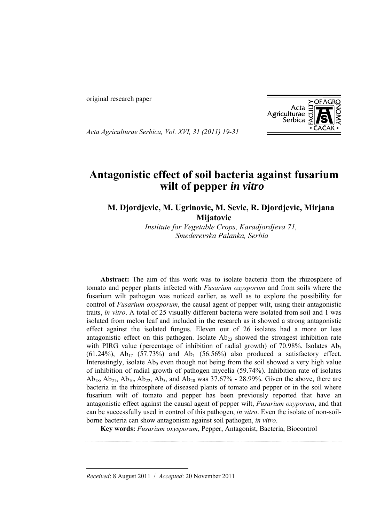original research paper



*Acta Agriculturae Serbica, Vol. XVI, 31 (2011) 19-31*

# **Antagonistic effect of soil bacteria against fusarium**  wilt of pepper *in vitro*

**M. Djordjevic, M. Ugrinovic, M. Sevic, R. Djordjevic, Mirjana Mijatovic**

> *Institute for Vegetable Crops, Karadjordjeva 71, Smederevska Palanka, Serbia*

**Abstract:** The aim of this work was to isolate bacteria from the rhizosphere of tomato and pepper plants infected with *Fusarium oxysporum* and from soils where the fusarium wilt pathogen was noticed earlier, as well as to explore the possibility for control of *Fusarium oxysporum*, the causal agent of pepper wilt, using their antagonistic traits, *in vitro*. A total of 25 visually different bacteria were isolated from soil and 1 was isolated from melon leaf and included in the research as it showed a strong antagonistic effect against the isolated fungus. Eleven out of 26 isolates had a more or less antagonistic effect on this pathogen. Isolate  $Ab_{23}$  showed the strongest inhibition rate with PIRG value (percentage of inhibition of radial growth) of 70.98%. Isolates  $Ab_7$ (61.24%),  $Ab_{17}$  (57.73%) and  $Ab_1$  (56.56%) also produced a satisfactory effect. Interestingly, isolate  $Ab_9$  even though not being from the soil showed a very high value of inhibition of radial growth of pathogen mycelia (59.74%). Inhibition rate of isolates  $Ab_{18}$ ,  $Ab_{21}$ ,  $Ab_{10}$ ,  $Ab_{22}$ ,  $Ab_{5}$ , and  $Ab_{20}$  was 37.67% - 28.99%. Given the above, there are bacteria in the rhizosphere of diseased plants of tomato and pepper or in the soil where fusarium wilt of tomato and pepper has been previously reported that have an antagonistic effect against the causal agent of pepper wilt, *Fusarium oxyporum*, and that can be successfully used in control of this pathogen, *in vitro*. Even the isolate of non-soilborne bacteria can show antagonism against soil pathogen, *in vitro*.

**Key words:** *Fusarium oxysporum*, Pepper, Antagonist, Bacteria, Biocontrol

 $\overline{a}$ 

*Received*: 8 August 2011 / *Accepted*: 20 November 2011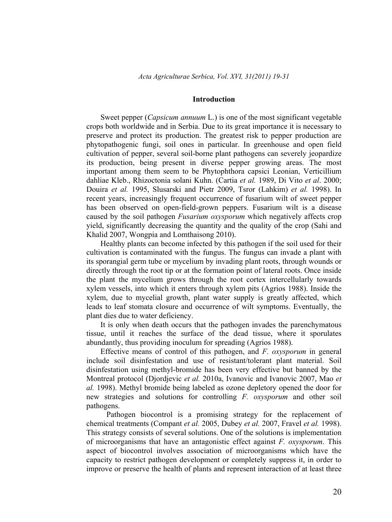#### **Introduction**

Sweet pepper (*Capsicum annuum* L.) is one of the most significant vegetable crops both worldwide and in Serbia. Due to its great importance it is necessary to preserve and protect its production. The greatest risk to pepper production are phytopathogenic fungi, soil ones in particular. In greenhouse and open field cultivation of pepper, several soil-borne plant pathogens can severely jeopardize its production, being present in diverse pepper growing areas. The most important among them seem to be Phytophthora capsici Leonian, Verticillium dahliae Kleb., Rhizoctonia solani Kuhn. (Cartia *et al.* 1989, Di Vito *et al*. 2000; Douira *et al.* 1995, Slusarski and Pietr 2009, Tsror (Lahkim) *et al.* 1998). In recent years, increasingly frequent occurrence of fusarium wilt of sweet pepper has been observed on open-field-grown peppers. Fusarium wilt is a disease caused by the soil pathogen *Fusarium oxysporum* which negatively affects crop yield, significantly decreasing the quantity and the quality of the crop (Sahi and Khalid 2007, Wongpia and Lomthaisong 2010).

Healthy plants can become infected by this pathogen if the soil used for their cultivation is contaminated with the fungus. The fungus can invade a plant with its sporangial germ tube or mycelium by invading plant roots, through wounds or directly through the root tip or at the formation point of lateral roots. Once inside the plant the mycelium grows through the root cortex intercellularly towards xylem vessels, into which it enters through xylem pits (Agrios 1988). Inside the xylem, due to mycelial growth, plant water supply is greatly affected, which leads to leaf stomata closure and occurrence of wilt symptoms. Eventually, the plant dies due to water deficiency.

It is only when death occurs that the pathogen invades the parenchymatous tissue, until it reaches the surface of the dead tissue, where it sporulates abundantly, thus providing inoculum for spreading (Agrios 1988).

Effective means of control of this pathogen, and *F. oxysporum* in general include soil disinfestation and use of resistant/tolerant plant material. Soil disinfestation using methyl-bromide has been very effective but banned by the Montreal protocol (Djordjevic *et al.* 2010а, Ivanovic and Ivanovic 2007, Mao *et al.* 1998). Methyl bromide being labeled as ozone depletory opened the door for new strategies and solutions for controlling *F. oxysporum* and other soil pathogens.

Pathogen biocontrol is a promising strategy for the replacement of chemical treatments (Compant *et al.* 2005, Dubey *et al.* 2007, Fravel *et al.* 1998). This strategy consists of several solutions. One of the solutions is implementation of microorganisms that have an antagonistic effect against *F. oxysporum*. This aspect of biocontrol involves association of microorganisms which have the capacity to restrict pathogen development or completely suppress it, in order to improve or preserve the health of plants and represent interaction of at least three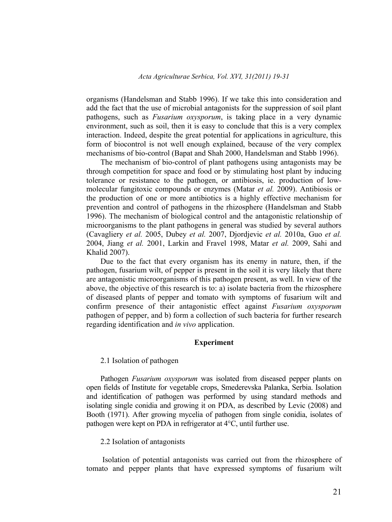organisms (Handelsman and Stabb 1996). If we take this into consideration and add the fact that the use of microbial antagonists for the suppression of soil plant pathogens, such as *Fusarium oxysporum*, is taking place in a very dynamic environment, such as soil, then it is easy to conclude that this is a very complex interaction. Indeed, despite the great potential for applications in agriculture, this form of biocontrol is not well enough explained, because of the very complex mechanisms of bio-control (Bapat and Shah 2000, Handelsman and Stabb 1996).

The mechanism of bio-control of plant pathogens using antagonists may be through competition for space and food or by stimulating host plant by inducing tolerance or resistance to the pathogen, or antibiosis, ie. production of lowmolecular fungitoxic compounds or enzymes (Matar *et al.* 2009). Antibiosis or the production of one or more antibiotics is a highly effective mechanism for prevention and control of pathogens in the rhizosphere (Handelsman and Stabb 1996). The mechanism of biological control and the antagonistic relationship of microorganisms to the plant pathogens in general was studied by several authors (Cavagliery *et al.* 2005, Dubey *et al.* 2007, Djordjevic *et al.* 2010a, Guo *et al.* 2004, Jiang *et al.* 2001, Larkin and Fravel 1998, Matar *et al.* 2009, Sahi and Khalid 2007).

Due to the fact that every organism has its enemy in nature, then, if the pathogen, fusarium wilt, of pepper is present in the soil it is very likely that there are antagonistic microorganisms of this pathogen present, as well. In view of the above, the objective of this research is to: a) isolate bacteria from the rhizosphere of diseased plants of pepper and tomato with symptoms of fusarium wilt and confirm presence of their antagonistic effect against *Fusarium oxysporum* pathogen of pepper, and b) form a collection of such bacteria for further research regarding identification and *in vivo* application.

#### **Experiment**

#### 2.1 Isolation of pathogen

Pathogen *Fusarium oxysporum* was isolated from diseased pepper plants on open fields of Institute for vegetable crops, Smederevska Palanka, Serbia. Isolation and identification of pathogen was performed by using standard methods and isolating single conidia and growing it on PDA, as described by Levic (2008) and Booth (1971). After growing mycelia of pathogen from single conidia, isolates of pathogen were kept on PDA in refrigerator at 4°C, until further use.

#### 2.2 Isolation of antagonists

 Isolation of potential antagonists was carried out from the rhizosphere of tomato and pepper plants that have expressed symptoms of fusarium wilt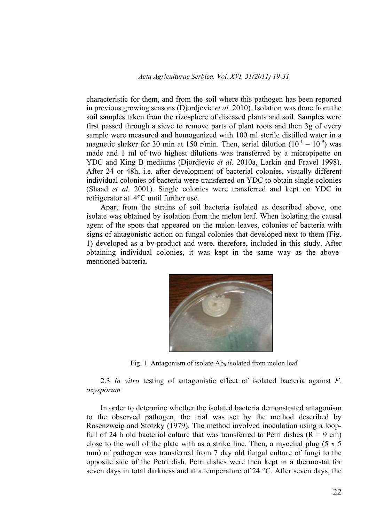characteristic for them, and from the soil where this pathogen has been reported in previous growing seasons (Djordjevic *et al.* 2010). Isolation was done from the soil samples taken from the rizosphere of diseased plants and soil. Samples were first passed through a sieve to remove parts of plant roots and then 3g of every sample were measured and homogenized with 100 ml sterile distilled water in a magnetic shaker for 30 min at 150 r/min. Then, serial dilution  $(10^{-1} - 10^{-9})$  was made and 1 ml of two highest dilutions was transferred by a micropipette on YDC and King B mediums (Djordjevic *et al.* 2010a, Larkin and Fravel 1998). After 24 or 48h, i.e. after development of bacterial colonies, visually different individual colonies of bacteria were transferred on YDC to obtain single colonies (Shaad *et al.* 2001). Single colonies were transferred and kept on YDC in refrigerator at 4°C until further use.

Apart from the strains of soil bacteria isolated as described above, one isolate was obtained by isolation from the melon leaf. When isolating the causal agent of the spots that appeared on the melon leaves, colonies of bacteria with signs of antagonistic action on fungal colonies that developed next to them (Fig. 1) developed as a by-product and were, therefore, included in this study. After obtaining individual colonies, it was kept in the same way as the abovementioned bacteria.



Fig. 1. Antagonism of isolate  $Ab<sub>9</sub>$  isolated from melon leaf

2.3 *In vitro* testing of antagonistic effect of isolated bacteria against *F. oxysporum*

In order to determine whether the isolated bacteria demonstrated antagonism to the observed pathogen, the trial was set by the method described by Rosenzweig and Stotzky (1979). The method involved inoculation using a loopfull of 24 h old bacterial culture that was transferred to Petri dishes  $(R = 9 \text{ cm})$ close to the wall of the plate with as a strike line. Then, a mycelial plug  $(5 \times 5)$ mm) of pathogen was transferred from 7 day old fungal culture of fungi to the opposite side of the Petri dish. Petri dishes were then kept in a thermostat for seven days in total darkness and at a temperature of 24 °C. After seven days, the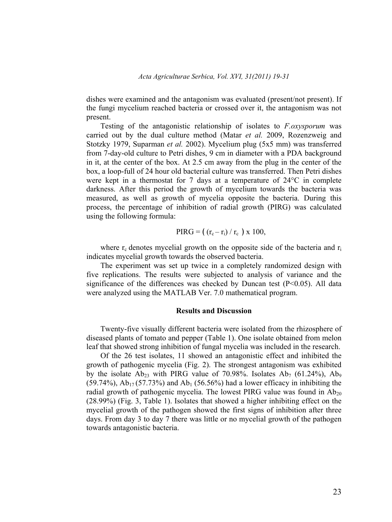dishes were examined and the antagonism was evaluated (present/not present). If the fungi mycelium reached bacteria or crossed over it, the antagonism was not present.

Testing of the antagonistic relationship of isolates to *F.oxysporum* was carried out by the dual culture method (Matar *et al.* 2009, Rozenzweig and Stotzky 1979, Suparman *et al.* 2002). Mycelium plug (5x5 mm) was transferred from 7-day-old culture to Petri dishes, 9 cm in diameter with a PDA background in it, at the center of the box. At 2.5 cm away from the plug in the center of the box, a loop-full of 24 hour old bacterial culture was transferred. Then Petri dishes were kept in a thermostat for 7 days at a temperature of 24°C in complete darkness. After this period the growth of mycelium towards the bacteria was measured, as well as growth of mycelia opposite the bacteria. During this process, the percentage of inhibition of radial growth (PIRG) was calculated using the following formula:

PIRG = 
$$
((r_c - r_i) / r_c)
$$
 x 100,

where  $r_c$  denotes mycelial growth on the opposite side of the bacteria and  $r_i$ indicates mycelial growth towards the observed bacteria.

The experiment was set up twice in a completely randomized design with five replications. The results were subjected to analysis of variance and the significance of the differences was checked by Duncan test  $(P<0.05)$ . All data were analyzed using the MATLAB Ver. 7.0 mathematical program.

#### **Results and Discussion**

Twenty-five visually different bacteria were isolated from the rhizosphere of diseased plants of tomato and pepper (Table 1). One isolate obtained from melon leaf that showed strong inhibition of fungal mycelia was included in the research.

Of the 26 test isolates, 11 showed an antagonistic effect and inhibited the growth of pathogenic mycelia (Fig. 2). The strongest antagonism was exhibited by the isolate  $Ab_{23}$  with PIRG value of 70.98%. Isolates  $Ab_7$  (61.24%),  $Ab_9$  $(59.74\%)$ , Ab<sub>17</sub> (57.73%) and Ab<sub>1</sub> (56.56%) had a lower efficacy in inhibiting the radial growth of pathogenic mycelia. The lowest PIRG value was found in  $Ab_{20}$ (28.99%) (Fig. 3, Table 1). Isolates that showed a higher inhibiting effect on the mycelial growth of the pathogen showed the first signs of inhibition after three days. From day 3 to day 7 there was little or no mycelial growth of the pathogen towards antagonistic bacteria.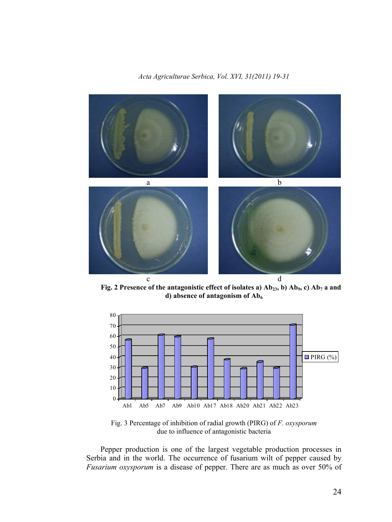*Acta Agriculturae Serbica, Vol. XVI, 31(2011) 19-31* 



Fig. 2 Presence of the antagonistic effect of isolates a) Ab<sub>23</sub>, b) Ab<sub>9</sub>, c) Ab<sub>7</sub> a and d) absence of antagonism of Ab<sub>6</sub>



Fig. 3 Percentage of inhibition of radial growth (PIRG) of *F. oxysporum* due to influence of antagonistic bacteria

Pepper production is one of the largest vegetable production processes in Serbia and in the world. The occurrence of fusarium wilt of pepper caused by *Fusarium oxysporum* is a disease of pepper. There are as much as over 50% of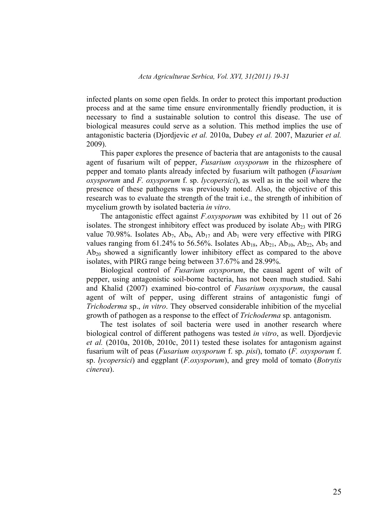infected plants on some open fields. In order to protect this important production process and at the same time ensure environmentally friendly production, it is necessary to find a sustainable solution to control this disease. The use of biological measures could serve as a solution. This method implies the use of antagonistic bacteria (Djordjevic *et al.* 2010a, Dubey *et al.* 2007, Mazurier *et al.* 2009).

This paper explores the presence of bacteria that are antagonists to the causal agent of fusarium wilt of pepper, *Fusarium oxysporum* in the rhizosphere of pepper and tomato plants already infected by fusarium wilt pathogen (*Fusarium oxysporum* and *F. oxysporum* f. sp. *lycopersici*), as well as in the soil where the presence of these pathogens was previously noted. Also, the objective of this research was to evaluate the strength of the trait i.e., the strength of inhibition of mycelium growth by isolated bacteria *in vitro*.

The antagonistic effect against *F.oxysporum* was exhibited by 11 out of 26 isolates. The strongest inhibitory effect was produced by isolate  $Ab_{23}$  with PIRG value 70.98%. Isolates  $Ab_7$ ,  $Ab_9$ ,  $Ab_{17}$  and  $Ab_1$  were very effective with PIRG values ranging from 61.24% to 56.56%. Isolates  $Ab_{18}$ ,  $Ab_{21}$ ,  $Ab_{10}$ ,  $Ab_{22}$ ,  $Ab_5$  and  $Ab_{20}$  showed a significantly lower inhibitory effect as compared to the above isolates, with PIRG range being between 37.67% and 28.99%.

Biological control of *Fusarium oxysporum*, the causal agent of wilt of pepper, using antagonistic soil-borne bacteria, has not been much studied. Sahi and Khalid (2007) examined bio-control of *Fusarium oxysporum*, the causal agent of wilt of pepper, using different strains of antagonistic fungi of *Trichoderma* sp., *in vitro*. They observed considerable inhibition of the mycelial growth of pathogen as a response to the effect of *Trichoderma* sp. antagonism.

The test isolates of soil bacteria were used in another research where biological control of different pathogens was tested *in vitro*, as well. Djordjevic *et al.* (2010a, 2010b, 2010c, 2011) tested these isolates for antagonism against fusarium wilt of peas (*Fusarium oxysporum* f. sp. *pisi*), tomato (*F. oxysporum* f. sp. *lycopersici*) and eggplant (*F.oxysporum*), and grey mold of tomato (*Botrytis cinerea*).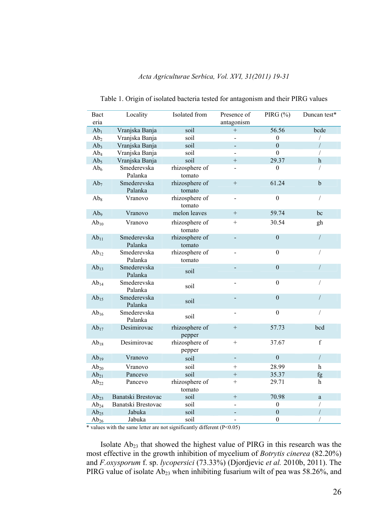| Bact<br>eria    | Locality               | Isolated from            | Presence of<br>antagonism | PIRG $(\%)$      | Duncan test*   |
|-----------------|------------------------|--------------------------|---------------------------|------------------|----------------|
| Ab <sub>1</sub> | Vranjska Banja         | soil                     | $^{+}$                    | 56.56            | bcde           |
| Ab <sub>2</sub> | Vranjska Banja         | soil                     | $\overline{a}$            | $\mathbf{0}$     | $\sqrt{2}$     |
| Ab <sub>3</sub> | Vranjska Banja         | soil                     | ÷,                        | $\theta$         | $\overline{1}$ |
| $Ab_4$          | Vranjska Banja         | soil                     | $\overline{a}$            | $\boldsymbol{0}$ | /              |
| Ab <sub>5</sub> | Vranjska Banja         | soil                     | $^{+}$                    | 29.37            | $\mathbf h$    |
| Ab <sub>6</sub> | Smederevska<br>Palanka | rhizosphere of<br>tomato | $\overline{a}$            | $\overline{0}$   | $\sqrt{2}$     |
| Ab <sub>7</sub> | Smederevska<br>Palanka | rhizosphere of<br>tomato | $^{+}$                    | 61.24            | $\mathbf b$    |
| Ab <sub>8</sub> | Vranovo                | rhizosphere of<br>tomato | $\overline{\phantom{0}}$  | $\mathbf{0}$     | $\sqrt{2}$     |
| Ab <sub>9</sub> | Vranovo                | melon leaves             | $+$                       | 59.74            | bc             |
| $Ab_{10}$       | Vranovo                | rhizosphere of<br>tomato | $^{+}$                    | 30.54            | gh             |
| $Ab_{11}$       | Smederevska<br>Palanka | rhizosphere of<br>tomato | $\frac{1}{2}$             | $\overline{0}$   | $\sqrt{2}$     |
| $Ab_{12}$       | Smederevska<br>Palanka | rhizosphere of<br>tomato | $\overline{\phantom{0}}$  | $\mathbf{0}$     | $\sqrt{2}$     |
| $Ab_{13}$       | Smederevska<br>Palanka | soil                     |                           | $\mathbf{0}$     | $\sqrt{2}$     |
| $Ab_{14}$       | Smederevska<br>Palanka | soil                     | -                         | $\mathbf{0}$     | 7              |
| $Ab_{15}$       | Smederevska<br>Palanka | soil                     |                           | $\boldsymbol{0}$ | 1              |
| $Ab_{16}$       | Smederevska<br>Palanka | soil                     | $\overline{\phantom{0}}$  | $\boldsymbol{0}$ | T              |
| $Ab_{17}$       | Desimirovac            | rhizosphere of<br>pepper | $^{+}$                    | 57.73            | bcd            |
| $Ab_{18}$       | Desimirovac            | rhizosphere of<br>pepper | $^{+}$                    | 37.67            | $\mathbf f$    |
| $Ab_{19}$       | Vranovo                | soil                     | $\overline{\phantom{a}}$  | $\boldsymbol{0}$ | $\sqrt{2}$     |
| $Ab_{20}$       | Vranovo                | soil                     | $^{+}$                    | 28.99            | h              |
| $Ab_{21}$       | Pancevo                | soil                     | $+$                       | 35.37            | fg             |
| $Ab_{22}$       | Pancevo                | rhizosphere of<br>tomato | $^{+}$                    | 29.71            | h              |
| $Ab_{23}$       | Banatski Brestovac     | soil                     | $+$                       | 70.98            | $\mathbf{a}$   |
| $Ab_{24}$       | Banatski Brestovac     | soil                     | $\overline{a}$            | $\overline{0}$   | /              |
| $Ab_{25}$       | Jabuka                 | soil                     | $\overline{\phantom{0}}$  | $\boldsymbol{0}$ | /              |
| $Ab_{26}$       | Jabuka                 | soil                     | $\overline{a}$            | $\boldsymbol{0}$ | $\sqrt{2}$     |

*Acta Agriculturae Serbica, Vol. XVI, 31(2011) 19-31*  Table 1. Origin of isolated bacteria tested for antagonism and their PIRG values

\* values with the same letter are not significantly different  $(P<0.05)$ 

Isolate Ab23 that showed the highest value of PIRG in this research was the most effective in the growth inhibition of mycelium of *Botrytis cinerea* (82.20%) and *F.oxysporum* f. sp. *lycopersici* (73.33%) (Djordjevic *et al.* 2010b, 2011). The PIRG value of isolate Ab<sub>23</sub> when inhibiting fusarium wilt of pea was 58.26%, and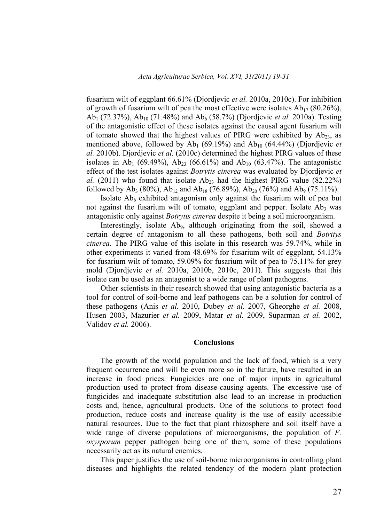fusarium wilt of eggplant 66.61% (Djordjevic *et al.* 2010a, 2010c). For inhibition of growth of fusarium wilt of pea the most effective were isolates  $Ab_{17}$  (80.26%), Ab1 (72.37%), Ab10 (71.48%) and Ab6 (58.7%) (Djordjevic *et al.* 2010a). Testing of the antagonistic effect of these isolates against the causal agent fusarium wilt of tomato showed that the highest values of PIRG were exhibited by  $Ab_{23}$ , as mentioned above, followed by  $Ab<sub>1</sub>$  (69.19%) and  $Ab<sub>10</sub>$  (64.44%) (Djordjevic *et al.* 2010b). Djordjevic *et al.* (2010c) determined the highest PIRG values of these isolates in Ab<sub>1</sub> (69.49%), Ab<sub>23</sub> (66.61%) and Ab<sub>10</sub> (63.47%). The antagonistic effect of the test isolates against *Botrytis cinerea* was evaluated by Djordjevic *et al.* (2011) who found that isolate  $Ab_{23}$  had the highest PIRG value (82.22%) followed by Ab<sub>3</sub> (80%), Ab<sub>12</sub> and Ab<sub>18</sub> (76.89%), Ab<sub>20</sub> (76%) and Ab<sub>9</sub> (75.11%).

Isolate  $Ab<sub>6</sub>$  exhibited antagonism only against the fusarium wilt of pea but not against the fusarium wilt of tomato, eggplant and pepper. Isolate  $Ab<sub>3</sub>$  was antagonistic only against *Botrytis cinerea* despite it being a soil microorganism.

Interestingly, isolate  $Ab<sub>9</sub>$ , although originating from the soil, showed a certain degree of antagonism to all these pathogens, both soil and *Botritys cinerea*. The PIRG value of this isolate in this research was 59.74%, while in other experiments it varied from 48.69% for fusarium wilt of eggplant, 54.13% for fusarium wilt of tomato, 59.09% for fusarium wilt of pea to 75.11% for grey mold (Djordjevic *et al.* 2010a, 2010b, 2010c, 2011). This suggests that this isolate can be used as an antagonist to a wide range of plant pathogens.

Other scientists in their research showed that using antagonistic bacteria as a tool for control of soil-borne and leaf pathogens can be a solution for control of these pathogens (Anis *et al.* 2010, Dubey *et al.* 2007, Gheorghe *et al.* 2008, Husen 2003, Mazurier *et al.* 2009, Matar *et al.* 2009, Suparman *et al.* 2002, Validov *et al.* 2006).

#### **Conclusions**

The growth of the world population and the lack of food, which is a very frequent occurrence and will be even more so in the future, have resulted in an increase in food prices. Fungicides are one of major inputs in agricultural production used to protect from disease-causing agents. The excessive use of fungicides and inadequate substitution also lead to an increase in production costs and, hence, agricultural products. One of the solutions to protect food production, reduce costs and increase quality is the use of easily accessible natural resources. Due to the fact that plant rhizosphere and soil itself have a wide range of diverse populations of microorganisms, the population of *F. oxysporum* pepper pathogen being one of them, some of these populations necessarily act as its natural enemies.

This paper justifies the use of soil-borne microorganisms in controlling plant diseases and highlights the related tendency of the modern plant protection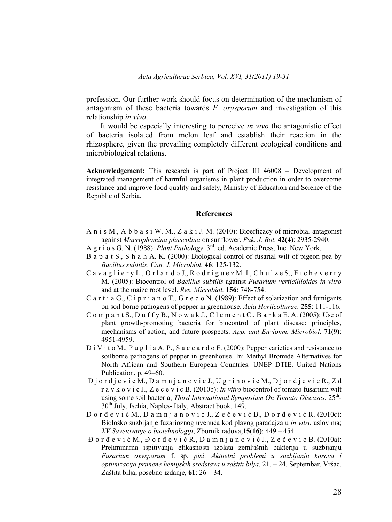profession. Our further work should focus on determination of the mechanism of antagonism of these bacteria towards *F. oxysporum* and investigation of this relationship *in vivo*.

It would be especially interesting to perceive *in vivo* the antagonistic effect of bacteria isolated from melon leaf and establish their reaction in the rhizosphere, given the prevailing completely different ecological conditions and microbiological relations.

**Acknowledgement:** This research is part of Project III 46008 – Development of integrated management of harmful organisms in plant production in order to overcome resistance and improve food quality and safety, Ministry of Education and Science of the Republic of Serbia.

#### **References**

- A n i s M., A b b a s i W. M., Z a k i J. M. (2010): Bioefficacy of microbial antagonist against *Macrophomina phaseolina* on sunflower. *Pak. J. Bot.* **42(4)**: 2935-2940.
- A g r i o s G. N. (1988): *Plant Pathology*. 3rd. ed. Academic Press, Inc. New York.
- B a p a t S., S h a h A. K. (2000): Biological control of fusarial wilt of pigeon pea by *Bacillus subtilis*. *Can. J. Microbiol.* **46**: 125-132.
- C a v a g l i e r y L., O r l a n d o J., R o d r i g u e z M. I., C h u l z e S., E t c h e v e r r y M. (2005): Biocontrol of *Bacillus subtilis* against *Fusarium verticillioides in vitro* and at the maize root level. *Res. Microbiol.* **156**: 748-754.
- C a r t i a G., C i p r i a n o T., G r e c o N. (1989): Effect of solarization and fumigants on soil borne pathogens of pepper in greenhouse. *Acta Horticolturae.* **255**: 111-116.
- C o m p a n t S., D u f f y B., N o w a k J., C l e m e n t C., B a r k a E. A. (2005): Use of plant growth-promoting bacteria for biocontrol of plant disease: principles, mechanisms of action, and future prospects. *App. and Envionm. Microbiol.* **71(9)**: 4951-4959.
- D i V i t o M., P u g l i a A. P., S a c c a r d o F. (2000): Pepper varieties and resistance to soilborne pathogens of pepper in greenhouse. In: Methyl Bromide Alternatives for North African and Southern European Countries. UNEP DTIE. United Nations Publication, p. 49–60.
- D j o r d j e v i c M., D a m n j a n o v i c J., U g r i n o v i c M., D j o r d j e v i c R., Z d r a v k o v i c J., Z e c e v i c B. (2010b): *In vitro* biocontrol of tomato fusarium wilt using some soil bacteria; *Third International Symposium On Tomato Diseases*,  $25^{\text{th}}$ -30th July, Ischia, Naples- Italy, Abstract book, 149.
- Đ o r đ e v i ć M., D a m n j a n o v i ć J., Z e č e v i ć B., Đ o r đ e v i ć R. (2010c): Biološko suzbijanje fuzarioznog uvenuća kod plavog paradajza u *in vitro* uslovima; *XV Savetovanje o biotehnologiji*, Zbornik radova,**15(16)**: 449 – 454.
- Đ o r đ e v i ć M., Đ o r đ e v i ć R., D a m n j a n o v i ć J., Z e č e v i ć B. (2010а): Preliminarna ispitivanja efikasnosti izolata zemljišnih bakterija u suzbijanju *Fusarium oxysporum* f. sp. *pisi*. *Aktuelni problemi u suzbijanju korova i optimizacija primene hemijskih sredstava u zaštiti bilja*, 21. – 24. Septembar, Vršac, Zaštita bilja, posebno izdanje, **61**: 26 – 34.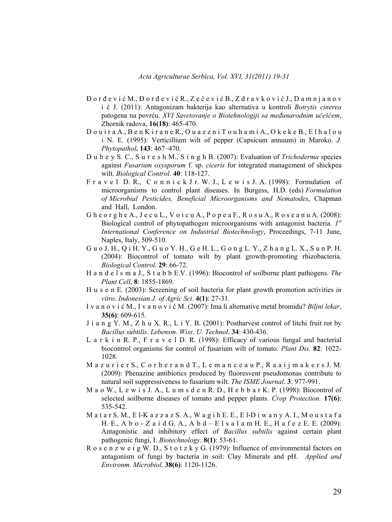- Đ o r đ e v i ć M., Đ o r đ e v i ć R., Z e č e v i ć B., Z d r a v k o v i ć J., D a m n j a n o v i ć J. (2011): Antagonizam bakterija kao alternativa u kontroli *Botrytis cinerea* patogena na povrću. *XVI Savetovanje o Biotehnologiji sa međunarodnim učešćem*, Zbornik radova, **16(18)**: 465-470.
- D o u i r a A., B e n K i r a n e R., O u a z z n i T o u h a m i A., O k e k e B., E l h a l o u i N. E. (1995): Verticillium wilt of pepper (Capsicum annuum) in Maroko. *J. Phytopathol***. 143**: 467–470.
- D u b e y S. C., S u r e s h M., S i n g h B. (2007): Evaluation of *Trichoderma* species against *Fusarium oxysporum* f. sp. *ciceris* for integrated management of shickpea wilt. *Biological Control*. **40**: 118-127.
- F r a v e l D. R., C o n n i c k J r. W. J., L e w i s J. A. (1998): Formulation of microorganisms to control plant diseases. In Burgess, H.D. (eds) *Formulation of Microbial Pesticides, Beneficial Microorganisms and Nematodes*, Chapman and Hall, London.
- G h e o r g h e A., J e c u L., V o i c u A., P o p e a F., R o s u A., R o s e a n u A. (2008): Biological control of phytopathogen microorganisms with antagonist bacteria. *1st International Conference on Industrial Biotechnology*, Proceedings, 7-11 June, Naples, Italy, 509-510.
- G u o J. H., Q i H. Y., G u o Y. H., G e H. L., G o n g L. Y., Z h a n g L. X., S u n P. H. (2004): Biocontrol of tomato wilt by plant growth-promoting rhizobacteria. *Biological Control*. **29**: 66-72.
- H a n d e l s m a J., S t a b b E.V. (1996): Biocontrol of soilborne plant pathogens. *The Plant Cell*, **8**: 1855-1869.
- H u s e n E. (2003): Screening of soil bacteria for plant growth promotion activities *in vitro*. *Indonesian J. of Agric Sci*. **4(1)**: 27-31.
- I v a n o v i ć M., I v a n o v i ć M. (2007): Ima li alternative metal bromidu? *Biljni lekar*, **35(6)**: 609-615.
- J i a n g Y. M., Z h u X. R., L i Y. B. (2001): Postharvest control of litchi fruit rot by *Bacillus subtilis*. *Lebensm*. *Wiss*. *U. Technol*. **34**: 430-436.
- L a r k i n R. P., F r a v e l D. R. (1998): Efficacy of various fungal and bacterial biocontrol organisms for control of fusarium wilt of tomato. *Plant Dis.* **82**: 1022- 1028.
- M a z u r i e r S., C o r b e r a n d T., L e m a n c e a u P., R a a i j m a k e r s J. M. (2009): Phenazine antibiotics produced by fluoresvent pseudomonas contribute to natural soil suppressiveness to fusarium wilt. *The ISME Journal*. **3**: 977-991.
- M a o W., L e w i s J. A., L u m s d e n R. D., H e b b a r K. P. (1998): Biocontrol of selected soilborne diseases of tomato and pepper plants. *Crop Protection.* **17(6)**: 535-542.
- M a t a r S. M., E l-K a z z a z S. A., W a g i h E. E., E l-D i w a n y A. I., M o u s t a f a H. E., A b o - Z a i d G. A., A b d – E l s a l a m H. E., H a f e z E. E. (2009): Antagonistic and inhibitory effect of *Bacillus subtilis* against certain plant pathogenic fungi, I. *Biotechnology*. **8(1)**: 53-61.
- R o s e n z w e i g W. D., S t o t z k y G. (1979): Influence of environmental factors on antagonism of fungi by bacteria in soil: Clay Minerals and pH. *Applied and Environm. Microbiol.* **38(6)**: 1120-1126.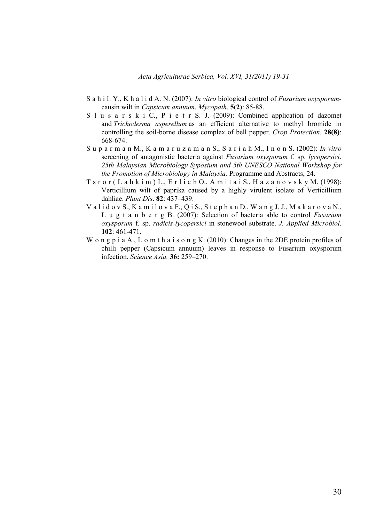- S a h i I. Y., K h a l i d A. N. (2007): *In vitro* biological control of *Fusarium oxysporum*causin wilt in *Capsicum annuum*. *Mycopath*. **5(2)**: 85-88.
- S l u s a r s k i C., P i e t r S. J. (2009): Combined application of dazomet and *Trichoderma asperellum* as an efficient alternative to methyl bromide in controlling the soil-borne disease complex of bell pepper. *Crop Protection*. **28(8)**: 668-674.
- S u p a r m a n M., K a m a r u z a m a n S., S a r i a h M., I n o n S. (2002): *In vitro*  screening of antagonistic bacteria against *Fusarium oxysporum* f. sp. *lycopersici*. *25th Malaysian Microbiology Syposium and 5th UNESCO National Workshop for the Promotion of Microbiology in Malaysia,* Programme and Abstracts, 24.
- $T$  s r o r ( $L$  a h k i m )  $L$ ,  $E$  r l i c h O,  $A$  m i t a i S,  $H$  a z a n o v s k y M. (1998): Verticillium wilt of paprika caused by a highly virulent isolate of Verticillium dahliae. *Plant Dis*. **82**: 437–439.
- V a l i d o v S., K a m i l o v a F., Q i S., S t e p h a n D., W a n g J. J., M a k a r o v a N., L u g t a n b e r g B. (2007): Selection of bacteria able to control *Fusarium oxysporum* f. sp. *radicis-lycopersici* in stonewool substrate. *J. Applied Microbiol*. **102**: 461-471.
- W o n g p i a A., L o m t h a i s o n g K. (2010): Changes in the 2DE protein profiles of chilli pepper (Capsicum annuum) leaves in response to Fusarium oxysporum infection. *Science Asia.* **36:** 259–270.